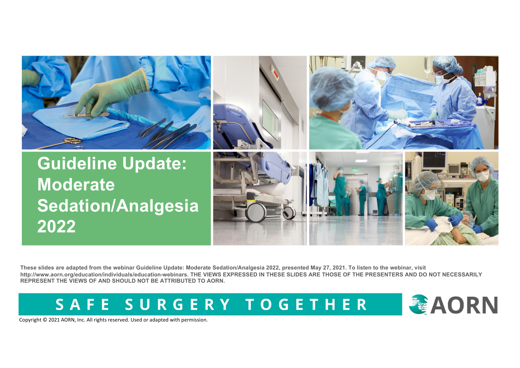

**These slides are adapted from the webinar Guideline Update: Moderate Sedation/Analgesia 2022, presented May 27, 2021. To listen to the webinar, visit http://www.aorn.org/education/individuals/education-webinars. THE VIEWS EXPRESSED IN THESE SLIDES ARE THOSE OF THE PRESENTERS AND DO NOT NECESSARILY REPRESENT THE VIEWS OF AND SHOULD NOT BE ATTRIBUTED TO AORN.**

SAFE SURGERY TOGETHER

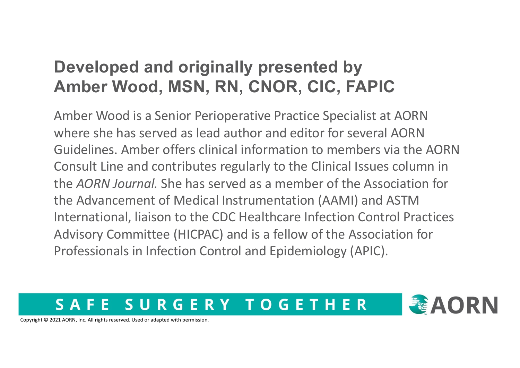### **Developed and originally presented by Amber Wood, MSN, RN, CNOR, CIC, FAPIC**

Amber Wood is a Senior Perioperative Practice Specialist at AORN where she has served as lead author and editor for several AORN Guidelines. Amber offers clinical information to members via the AORN Consult Line and contributes regularly to the Clinical Issues column in the *AORN Journal.* She has served as a member of the Association for the Advancement of Medical Instrumentation (AAMI) and ASTM International, liaison to the CDC Healthcare Infection Control Practices Advisory Committee (HICPAC) and is a fellow of the Association for Professionals in Infection Control and Epidemiology (APIC).

#### SURGERY TOGETHER  $\mathbf{S}$   $\mathbf{\Lambda}$ F

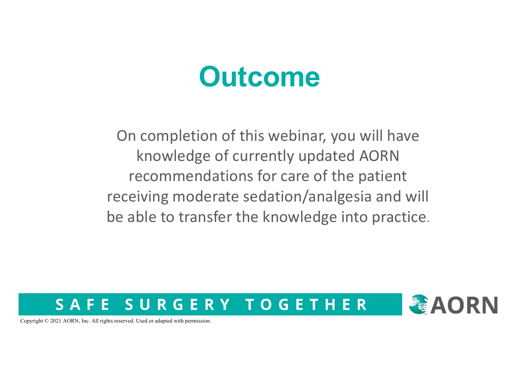## **Outcome**

On completion of this webinar, you will have knowledge of currently updated AORN recommendations for care of the patient receiving moderate sedation/analgesia and will be able to transfer the knowledge into practice.

#### SURGERY TOGETHER F. F S A